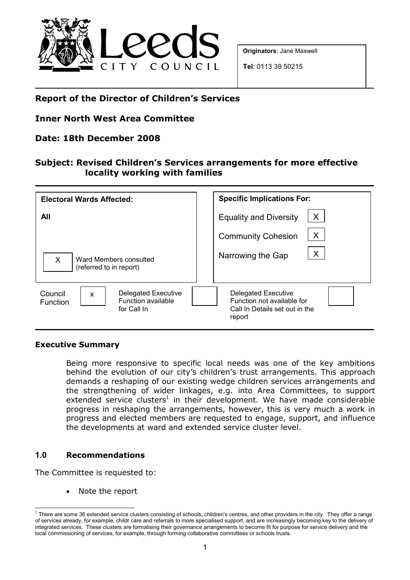

Originators: Jane Maxwell

Tel: 0113 39 50215

## Report of the Director of Children's Services

## Inner North West Area Committee

## Date: 18th December 2008

## Subject: Revised Children's Services arrangements for more effective locality working with families

| <b>Electoral Wards Affected:</b>                                                            | <b>Specific Implications For:</b>                                                                    |
|---------------------------------------------------------------------------------------------|------------------------------------------------------------------------------------------------------|
| All                                                                                         | X<br><b>Equality and Diversity</b>                                                                   |
|                                                                                             | X<br><b>Community Cohesion</b>                                                                       |
| $\sf X$<br>Ward Members consulted<br>(referred to in report)                                | X<br>Narrowing the Gap                                                                               |
| Delegated Executive<br>Council<br>X<br><b>Function available</b><br>Function<br>for Call In | <b>Delegated Executive</b><br>Function not available for<br>Call In Details set out in the<br>report |

#### Executive Summary

Being more responsive to specific local needs was one of the key ambitions behind the evolution of our city's children's trust arrangements. This approach demands a reshaping of our existing wedge children services arrangements and the strengthening of wider linkages, e.g. into Area Committees, to support extended service clusters<sup>1</sup> in their development. We have made considerable progress in reshaping the arrangements, however, this is very much a work in progress and elected members are requested to engage, support, and influence the developments at ward and extended service cluster level.

#### 1.0 Recommendations

 $\overline{1}$ 

The Committee is requested to:

Note the report

<sup>&</sup>lt;sup>1</sup> There are some 38 extended service clusters consisting of schools, children's centres, and other providers in the city. They offer a range of services already, for example, childr care and referrals to more specialised support, and are increasingly becoming key to the delivery of integrated services. These clusters are formalising their governance arrangements to become fit for purpose for service delivery and the local commissioning of services, for example, through forming collaborative committees or schools trusts.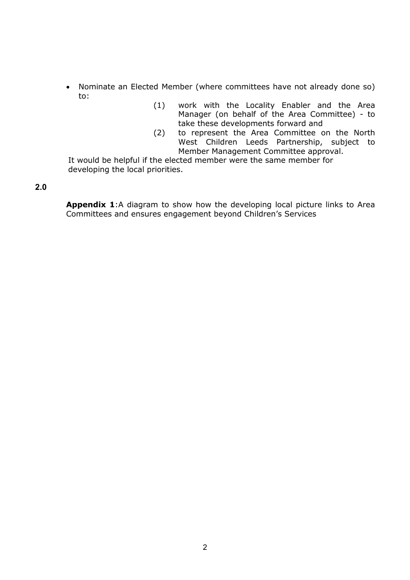- Nominate an Elected Member (where committees have not already done so) to:
	- (1) work with the Locality Enabler and the Area Manager (on behalf of the Area Committee) - to take these developments forward and
	- (2) to represent the Area Committee on the North West Children Leeds Partnership, subject to Member Management Committee approval.

It would be helpful if the elected member were the same member for developing the local priorities.

#### 2.0

Appendix 1:A diagram to show how the developing local picture links to Area Committees and ensures engagement beyond Children's Services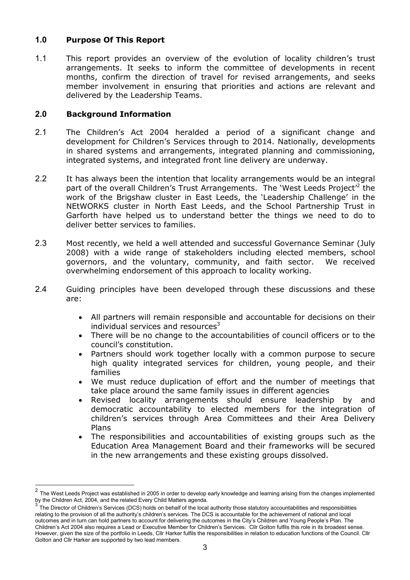### 1.0 Purpose Of This Report

1.1 This report provides an overview of the evolution of locality children's trust arrangements. It seeks to inform the committee of developments in recent months, confirm the direction of travel for revised arrangements, and seeks member involvement in ensuring that priorities and actions are relevant and delivered by the Leadership Teams.

#### 2.0 Background Information

- 2.1 The Children's Act 2004 heralded a period of a significant change and development for Children's Services through to 2014. Nationally, developments in shared systems and arrangements, integrated planning and commissioning, integrated systems, and integrated front line delivery are underway.
- 2.2 It has always been the intention that locality arrangements would be an integral part of the overall Children's Trust Arrangements. The 'West Leeds Project'<sup>2</sup> the work of the Brigshaw cluster in East Leeds, the 'Leadership Challenge' in the NEtWORKS cluster in North East Leeds, and the School Partnership Trust in Garforth have helped us to understand better the things we need to do to deliver better services to families.
- 2.3 Most recently, we held a well attended and successful Governance Seminar (July 2008) with a wide range of stakeholders including elected members, school governors, and the voluntary, community, and faith sector. We received overwhelming endorsement of this approach to locality working.
- 2.4 Guiding principles have been developed through these discussions and these are:
	- All partners will remain responsible and accountable for decisions on their individual services and resources $3$
	- There will be no change to the accountabilities of council officers or to the council's constitution.
	- Partners should work together locally with a common purpose to secure high quality integrated services for children, young people, and their families
	- We must reduce duplication of effort and the number of meetings that take place around the same family issues in different agencies
	- Revised locality arrangements should ensure leadership by and democratic accountability to elected members for the integration of children's services through Area Committees and their Area Delivery Plans
	- The responsibilities and accountabilities of existing groups such as the Education Area Management Board and their frameworks will be secured in the new arrangements and these existing groups dissolved.

 $\frac{1}{2}$ The West Leeds Project was established in 2005 in order to develop early knowledge and learning arising from the changes implemented by the Children Act, 2004, and the related Every Child Matters agenda.<br>3 The Director of Children's Comisse (DCC) halds an habelf of the lase

The Director of Children's Services (DCS) holds on behalf of the local authority those statutory accountabilities and responsibilities relating to the provision of all the authority's children's services. The DCS is accountable for the achievement of national and local outcomes and in turn can hold partners to account for delivering the outcomes in the City's Children and Young People's Plan. The Children's Act 2004 also requires a Lead or Executive Member for Children's Services. Cllr Golton fulfils this role in its broadest sense. However, given the size of the portfolio in Leeds, Cllr Harker fulfils the responsibilities in relation to education functions of the Council. Cllr Golton and Cllr Harker are supported by two lead members.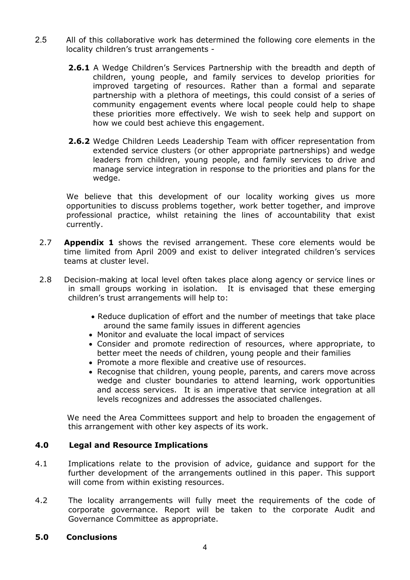- 2.5 All of this collaborative work has determined the following core elements in the locality children's trust arrangements -
	- 2.6.1 A Wedge Children's Services Partnership with the breadth and depth of children, young people, and family services to develop priorities for improved targeting of resources. Rather than a formal and separate partnership with a plethora of meetings, this could consist of a series of community engagement events where local people could help to shape these priorities more effectively. We wish to seek help and support on how we could best achieve this engagement.
	- 2.6.2 Wedge Children Leeds Leadership Team with officer representation from extended service clusters (or other appropriate partnerships) and wedge leaders from children, young people, and family services to drive and manage service integration in response to the priorities and plans for the wedge.

We believe that this development of our locality working gives us more opportunities to discuss problems together, work better together, and improve professional practice, whilst retaining the lines of accountability that exist currently.

- 2.7 **Appendix 1** shows the revised arrangement. These core elements would be time limited from April 2009 and exist to deliver integrated children's services teams at cluster level.
- 2.8 Decision-making at local level often takes place along agency or service lines or in small groups working in isolation. It is envisaged that these emerging children's trust arrangements will help to:
	- Reduce duplication of effort and the number of meetings that take place around the same family issues in different agencies
	- Monitor and evaluate the local impact of services
	- Consider and promote redirection of resources, where appropriate, to better meet the needs of children, young people and their families
	- Promote a more flexible and creative use of resources.
	- Recognise that children, young people, parents, and carers move across wedge and cluster boundaries to attend learning, work opportunities and access services. It is an imperative that service integration at all levels recognizes and addresses the associated challenges.

 We need the Area Committees support and help to broaden the engagement of this arrangement with other key aspects of its work.

#### 4.0 Legal and Resource Implications

- 4.1 Implications relate to the provision of advice, guidance and support for the further development of the arrangements outlined in this paper. This support will come from within existing resources.
- 4.2 The locality arrangements will fully meet the requirements of the code of corporate governance. Report will be taken to the corporate Audit and Governance Committee as appropriate.

#### 5.0 Conclusions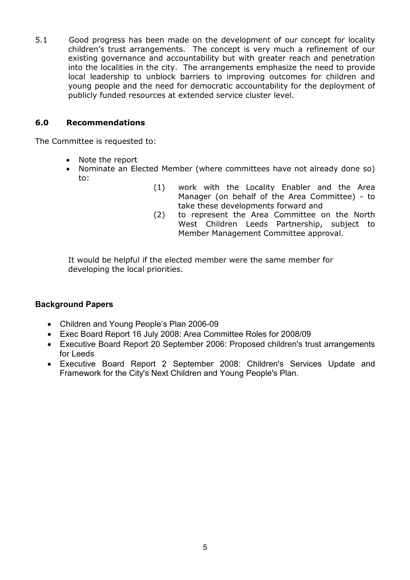5.1 Good progress has been made on the development of our concept for locality children's trust arrangements. The concept is very much a refinement of our existing governance and accountability but with greater reach and penetration into the localities in the city. The arrangements emphasize the need to provide local leadership to unblock barriers to improving outcomes for children and young people and the need for democratic accountability for the deployment of publicly funded resources at extended service cluster level.

#### 6.0 Recommendations

The Committee is requested to:

- Note the report
- Nominate an Elected Member (where committees have not already done so) to:
	- (1) work with the Locality Enabler and the Area Manager (on behalf of the Area Committee) - to take these developments forward and
	- (2) to represent the Area Committee on the North West Children Leeds Partnership, subject to Member Management Committee approval.

It would be helpful if the elected member were the same member for developing the local priorities.

## Background Papers

- Children and Young People's Plan 2006-09
- Exec Board Report 16 July 2008: Area Committee Roles for 2008/09
- Executive Board Report 20 September 2006: Proposed children's trust arrangements for Leeds
- Executive Board Report 2 September 2008: Children's Services Update and Framework for the City's Next Children and Young People's Plan.